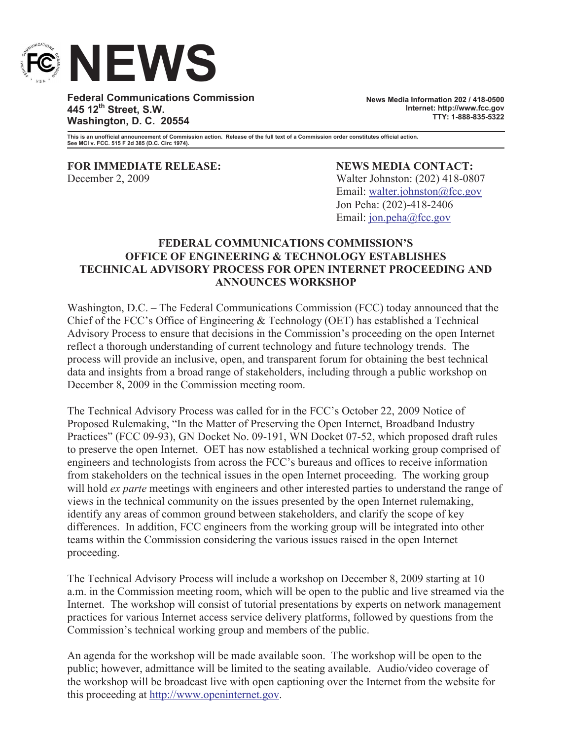

**Federal Communications Commission 445 12th Street, S.W. Washington, D. C. 20554**

**News Media Information 202 / 418-0500 Internet: http://www.fcc.gov TTY: 1-888-835-5322**

**This is an unofficial announcement of Commission action. Release of the full text of a Commission order constitutes official action. See MCI v. FCC. 515 F 2d 385 (D.C. Circ 1974).**

**FOR IMMEDIATE RELEASE: NEWS MEDIA CONTACT:** December 2, 2009 Walter Johnston: (202) 418-0807

Email: walter.johnston@fcc.gov Jon Peha: (202)-418-2406 Email: jon.peha@fcc.gov

## **FEDERAL COMMUNICATIONS COMMISSION'S OFFICE OF ENGINEERING & TECHNOLOGY ESTABLISHES TECHNICAL ADVISORY PROCESS FOR OPEN INTERNET PROCEEDING AND ANNOUNCES WORKSHOP**

Washington, D.C. – The Federal Communications Commission (FCC) today announced that the Chief of the FCC's Office of Engineering & Technology (OET) has established a Technical Advisory Process to ensure that decisions in the Commission's proceeding on the open Internet reflect a thorough understanding of current technology and future technology trends. The process will provide an inclusive, open, and transparent forum for obtaining the best technical data and insights from a broad range of stakeholders, including through a public workshop on December 8, 2009 in the Commission meeting room.

The Technical Advisory Process was called for in the FCC's October 22, 2009 Notice of Proposed Rulemaking, "In the Matter of Preserving the Open Internet, Broadband Industry Practices" (FCC 09-93), GN Docket No. 09-191, WN Docket 07-52, which proposed draft rules to preserve the open Internet. OET has now established a technical working group comprised of engineers and technologists from across the FCC's bureaus and offices to receive information from stakeholders on the technical issues in the open Internet proceeding. The working group will hold *ex parte* meetings with engineers and other interested parties to understand the range of views in the technical community on the issues presented by the open Internet rulemaking, identify any areas of common ground between stakeholders, and clarify the scope of key differences. In addition, FCC engineers from the working group will be integrated into other teams within the Commission considering the various issues raised in the open Internet proceeding.

The Technical Advisory Process will include a workshop on December 8, 2009 starting at 10 a.m. in the Commission meeting room, which will be open to the public and live streamed via the Internet. The workshop will consist of tutorial presentations by experts on network management practices for various Internet access service delivery platforms, followed by questions from the Commission's technical working group and members of the public.

An agenda for the workshop will be made available soon. The workshop will be open to the public; however, admittance will be limited to the seating available. Audio/video coverage of the workshop will be broadcast live with open captioning over the Internet from the website for this proceeding at http://www.openinternet.gov.